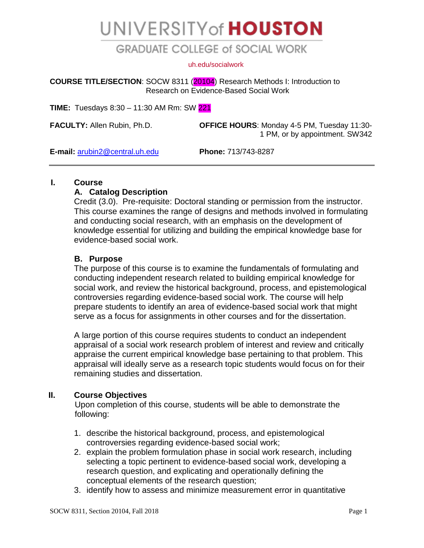# UNIVERSITY of HOUSTON

## **GRADUATE COLLEGE of SOCIAL WORK**

#### [uh.edu/socialwork](http://www.uh.edu/socialwork)

**COURSE TITLE/SECTION**: SOCW 8311 (20104) Research Methods I: Introduction to Research on Evidence-Based Social Work

**TIME:** Tuesdays 8:30 – 11:30 AM Rm: SW 221

**FACULTY:** Allen Rubin, Ph.D. **OFFICE HOURS**: Monday 4-5 PM, Tuesday 11:30- 1 PM, or by appointment. SW342

**E-mail:** [arubin2@central.uh.edu](mailto:arubin2@central.uh.edu) **Phone:** 713/743-8287

## **I. Course**

## **A. Catalog Description**

Credit (3.0). Pre-requisite: Doctoral standing or permission from the instructor. This course examines the range of designs and methods involved in formulating and conducting social research, with an emphasis on the development of knowledge essential for utilizing and building the empirical knowledge base for evidence-based social work.

#### **B. Purpose**

The purpose of this course is to examine the fundamentals of formulating and conducting independent research related to building empirical knowledge for social work, and review the historical background, process, and epistemological controversies regarding evidence-based social work. The course will help prepare students to identify an area of evidence-based social work that might serve as a focus for assignments in other courses and for the dissertation.

A large portion of this course requires students to conduct an independent appraisal of a social work research problem of interest and review and critically appraise the current empirical knowledge base pertaining to that problem. This appraisal will ideally serve as a research topic students would focus on for their remaining studies and dissertation.

## **II. Course Objectives**

Upon completion of this course, students will be able to demonstrate the following:

- 1. describe the historical background, process, and epistemological controversies regarding evidence-based social work;
- 2. explain the problem formulation phase in social work research, including selecting a topic pertinent to evidence-based social work, developing a research question, and explicating and operationally defining the conceptual elements of the research question;
- 3. identify how to assess and minimize measurement error in quantitative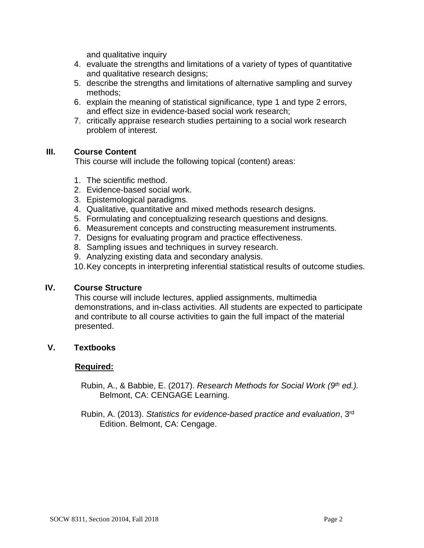and qualitative inquiry

- 4. evaluate the strengths and limitations of a variety of types of quantitative and qualitative research designs;
- 5. describe the strengths and limitations of alternative sampling and survey methods;
- 6. explain the meaning of statistical significance, type 1 and type 2 errors, and effect size in evidence-based social work research;
- 7. critically appraise research studies pertaining to a social work research problem of interest.

#### **III. Course Content**

This course will include the following topical (content) areas:

- 1. The scientific method.
- 2. Evidence-based social work.
- 3. Epistemological paradigms.
- 4. Qualitative, quantitative and mixed methods research designs.
- 5. Formulating and conceptualizing research questions and designs.
- 6. Measurement concepts and constructing measurement instruments.
- 7. Designs for evaluating program and practice effectiveness.
- 8. Sampling issues and techniques in survey research.
- 9. Analyzing existing data and secondary analysis.
- 10.Key concepts in interpreting inferential statistical results of outcome studies.

#### **IV. Course Structure**

This course will include lectures, applied assignments, multimedia demonstrations, and in-class activities. All students are expected to participate and contribute to all course activities to gain the full impact of the material presented.

## **V. Textbooks**

#### **Required:**

- Rubin, A., & Babbie, E. (2017). *Research Methods for Social Work (9th ed.).*  Belmont, CA: CENGAGE Learning.
- Rubin, A. (2013). *Statistics for evidence-based practice and evaluation*, 3rd Edition. Belmont, CA: Cengage.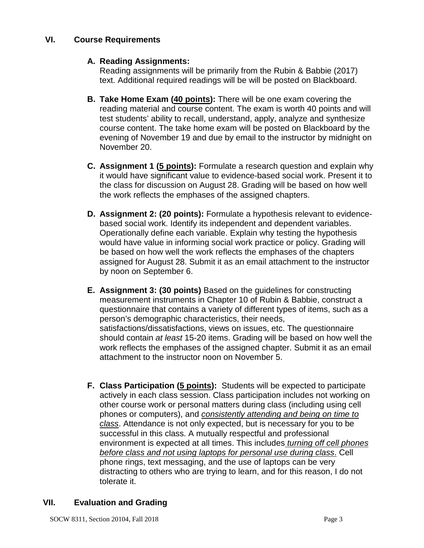## **A. Reading Assignments:**

Reading assignments will be primarily from the Rubin & Babbie (2017) text. Additional required readings will be will be posted on Blackboard.

- **B. Take Home Exam (40 points):** There will be one exam covering the reading material and course content. The exam is worth 40 points and will test students' ability to recall, understand, apply, analyze and synthesize course content. The take home exam will be posted on Blackboard by the evening of November 19 and due by email to the instructor by midnight on November 20.
- **C. Assignment 1 (5 points):** Formulate a research question and explain why it would have significant value to evidence-based social work. Present it to the class for discussion on August 28. Grading will be based on how well the work reflects the emphases of the assigned chapters.
- **D. Assignment 2: (20 points):** Formulate a hypothesis relevant to evidencebased social work. Identify its independent and dependent variables. Operationally define each variable. Explain why testing the hypothesis would have value in informing social work practice or policy. Grading will be based on how well the work reflects the emphases of the chapters assigned for August 28. Submit it as an email attachment to the instructor by noon on September 6.
- **E. Assignment 3: (30 points)** Based on the guidelines for constructing measurement instruments in Chapter 10 of Rubin & Babbie, construct a questionnaire that contains a variety of different types of items, such as a person's demographic characteristics, their needs, satisfactions/dissatisfactions, views on issues, etc. The questionnaire should contain *at least* 15-20 items. Grading will be based on how well the work reflects the emphases of the assigned chapter. Submit it as an email attachment to the instructor noon on November 5.
- **F. Class Participation (5 points):** Students will be expected to participate actively in each class session. Class participation includes not working on other course work or personal matters during class (including using cell phones or computers), and *consistently attending and being on time to class*. Attendance is not only expected, but is necessary for you to be successful in this class. A mutually respectful and professional environment is expected at all times. This includes *turning off cell phones before class and not using laptops for personal use during class*. Cell phone rings, text messaging, and the use of laptops can be very distracting to others who are trying to learn, and for this reason, I do not tolerate it.

## **VII. Evaluation and Grading**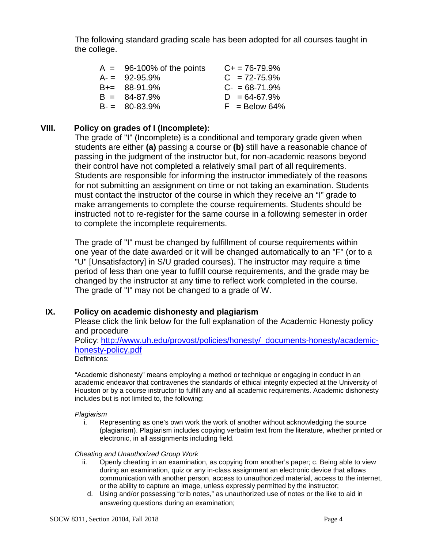The following standard grading scale has been adopted for all courses taught in the college.

| $A = 96-100\%$ of the points | $C_{+}$ = 76-79.9% |
|------------------------------|--------------------|
| $A = 92-95.9%$               | $C = 72 - 75.9%$   |
| $B+= 88-91.9%$               | $C - 68 - 71.9%$   |
| $B = 84-87.9%$               | $D = 64-67.9%$     |
| $B = 80-83.9%$               | $F =$ Below 64%    |

#### **VIII. Policy on grades of I (Incomplete):**

The grade of "I" (Incomplete) is a conditional and temporary grade given when students are either **(a)** passing a course or **(b)** still have a reasonable chance of passing in the judgment of the instructor but, for non-academic reasons beyond their control have not completed a relatively small part of all requirements. Students are responsible for informing the instructor immediately of the reasons for not submitting an assignment on time or not taking an examination. Students must contact the instructor of the course in which they receive an "I" grade to make arrangements to complete the course requirements. Students should be instructed not to re-register for the same course in a following semester in order to complete the incomplete requirements.

The grade of "I" must be changed by fulfillment of course requirements within one year of the date awarded or it will be changed automatically to an "F" (or to a "U" [Unsatisfactory] in S/U graded courses). The instructor may require a time period of less than one year to fulfill course requirements, and the grade may be changed by the instructor at any time to reflect work completed in the course. The grade of "I" may not be changed to a grade of W.

## **IX. Policy on academic dishonesty and plagiarism**

Please click the link below for the full explanation of the Academic Honesty policy and procedure

Policy: [http://www.uh.edu/provost/policies/honesty/\\_documents-honesty/academic](http://www.uh.edu/provost/policies/honesty/_documents-honesty/academic-honesty-policy.pdf)[honesty-policy.pdf](http://www.uh.edu/provost/policies/honesty/_documents-honesty/academic-honesty-policy.pdf)

Definitions:

"Academic dishonesty" means employing a method or technique or engaging in conduct in an academic endeavor that contravenes the standards of ethical integrity expected at the University of Houston or by a course instructor to fulfill any and all academic requirements. Academic dishonesty includes but is not limited to, the following:

#### *Plagiarism*

i. Representing as one's own work the work of another without acknowledging the source (plagiarism). Plagiarism includes copying verbatim text from the literature, whether printed or electronic, in all assignments including field.

#### *Cheating and Unauthorized Group Work*

- ii. Openly cheating in an examination, as copying from another's paper; c. Being able to view during an examination, quiz or any in-class assignment an electronic device that allows communication with another person, access to unauthorized material, access to the internet, or the ability to capture an image, unless expressly permitted by the instructor;
	- d. Using and/or possessing "crib notes," as unauthorized use of notes or the like to aid in answering questions during an examination;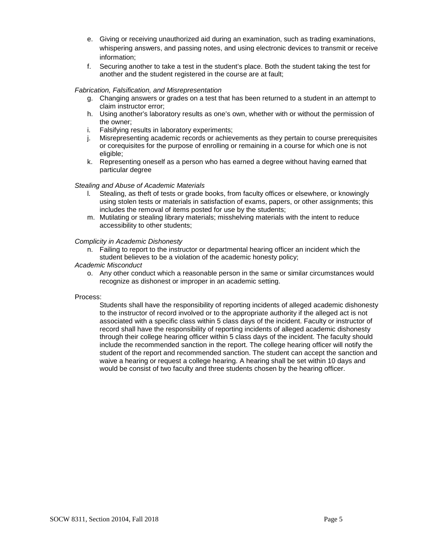- e. Giving or receiving unauthorized aid during an examination, such as trading examinations, whispering answers, and passing notes, and using electronic devices to transmit or receive information;
- f. Securing another to take a test in the student's place. Both the student taking the test for another and the student registered in the course are at fault;

#### *Fabrication, Falsification, and Misrepresentation*

- g. Changing answers or grades on a test that has been returned to a student in an attempt to claim instructor error;
- h. Using another's laboratory results as one's own, whether with or without the permission of the owner;
- i. Falsifying results in laboratory experiments;
- j. Misrepresenting academic records or achievements as they pertain to course prerequisites or corequisites for the purpose of enrolling or remaining in a course for which one is not eligible;
- k. Representing oneself as a person who has earned a degree without having earned that particular degree

#### *Stealing and Abuse of Academic Materials*

- l. Stealing, as theft of tests or grade books, from faculty offices or elsewhere, or knowingly using stolen tests or materials in satisfaction of exams, papers, or other assignments; this includes the removal of items posted for use by the students;
- m. Mutilating or stealing library materials; misshelving materials with the intent to reduce accessibility to other students;

#### *Complicity in Academic Dishonesty*

n. Failing to report to the instructor or departmental hearing officer an incident which the student believes to be a violation of the academic honesty policy;

#### *Academic Misconduct*

o. Any other conduct which a reasonable person in the same or similar circumstances would recognize as dishonest or improper in an academic setting.

#### Process:

Students shall have the responsibility of reporting incidents of alleged academic dishonesty to the instructor of record involved or to the appropriate authority if the alleged act is not associated with a specific class within 5 class days of the incident. Faculty or instructor of record shall have the responsibility of reporting incidents of alleged academic dishonesty through their college hearing officer within 5 class days of the incident. The faculty should include the recommended sanction in the report. The college hearing officer will notify the student of the report and recommended sanction. The student can accept the sanction and waive a hearing or request a college hearing. A hearing shall be set within 10 days and would be consist of two faculty and three students chosen by the hearing officer.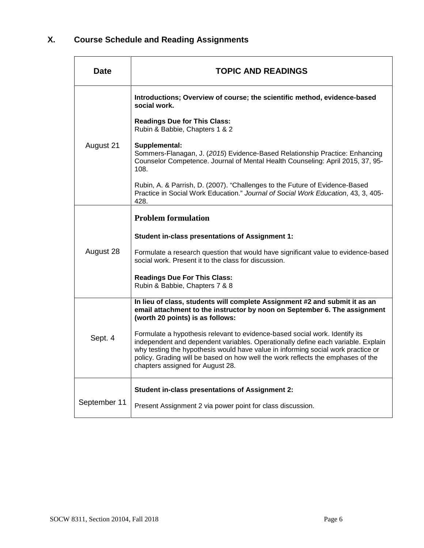# **X. Course Schedule and Reading Assignments**

| Date         | <b>TOPIC AND READINGS</b>                                                                                                                                                                                                                                                                                                                                                  |  |
|--------------|----------------------------------------------------------------------------------------------------------------------------------------------------------------------------------------------------------------------------------------------------------------------------------------------------------------------------------------------------------------------------|--|
|              | Introductions; Overview of course; the scientific method, evidence-based<br>social work.                                                                                                                                                                                                                                                                                   |  |
|              | <b>Readings Due for This Class:</b><br>Rubin & Babbie, Chapters 1 & 2                                                                                                                                                                                                                                                                                                      |  |
| August 21    | Supplemental:<br>Sommers-Flanagan, J. (2015) Evidence-Based Relationship Practice: Enhancing<br>Counselor Competence. Journal of Mental Health Counseling: April 2015, 37, 95-<br>108.                                                                                                                                                                                     |  |
|              | Rubin, A. & Parrish, D. (2007). "Challenges to the Future of Evidence-Based<br>Practice in Social Work Education." Journal of Social Work Education, 43, 3, 405-<br>428.                                                                                                                                                                                                   |  |
|              | <b>Problem formulation</b>                                                                                                                                                                                                                                                                                                                                                 |  |
|              | Student in-class presentations of Assignment 1:                                                                                                                                                                                                                                                                                                                            |  |
| August 28    | Formulate a research question that would have significant value to evidence-based<br>social work. Present it to the class for discussion.                                                                                                                                                                                                                                  |  |
|              | <b>Readings Due For This Class:</b><br>Rubin & Babbie, Chapters 7 & 8                                                                                                                                                                                                                                                                                                      |  |
|              | In lieu of class, students will complete Assignment #2 and submit it as an<br>email attachment to the instructor by noon on September 6. The assignment<br>(worth 20 points) is as follows:                                                                                                                                                                                |  |
| Sept. 4      | Formulate a hypothesis relevant to evidence-based social work. Identify its<br>independent and dependent variables. Operationally define each variable. Explain<br>why testing the hypothesis would have value in informing social work practice or<br>policy. Grading will be based on how well the work reflects the emphases of the<br>chapters assigned for August 28. |  |
|              | <b>Student in-class presentations of Assignment 2:</b>                                                                                                                                                                                                                                                                                                                     |  |
| September 11 | Present Assignment 2 via power point for class discussion.                                                                                                                                                                                                                                                                                                                 |  |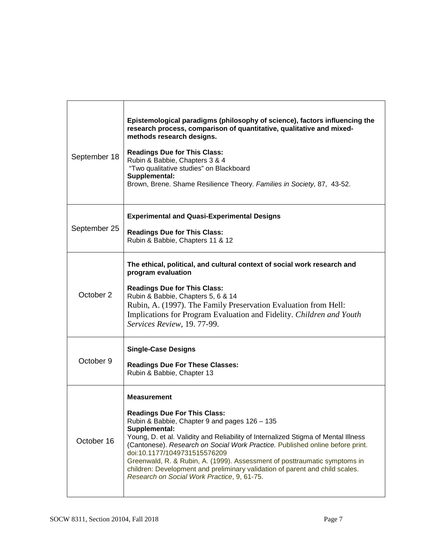| September 18 | Epistemological paradigms (philosophy of science), factors influencing the<br>research process, comparison of quantitative, qualitative and mixed-<br>methods research designs.<br><b>Readings Due for This Class:</b><br>Rubin & Babbie, Chapters 3 & 4<br>"Two qualitative studies" on Blackboard<br>Supplemental:<br>Brown, Brene. Shame Resilience Theory. Families in Society, 87, 43-52.                                                                                                                                                 |
|--------------|------------------------------------------------------------------------------------------------------------------------------------------------------------------------------------------------------------------------------------------------------------------------------------------------------------------------------------------------------------------------------------------------------------------------------------------------------------------------------------------------------------------------------------------------|
| September 25 | <b>Experimental and Quasi-Experimental Designs</b><br><b>Readings Due for This Class:</b><br>Rubin & Babbie, Chapters 11 & 12                                                                                                                                                                                                                                                                                                                                                                                                                  |
| October 2    | The ethical, political, and cultural context of social work research and<br>program evaluation<br><b>Readings Due for This Class:</b><br>Rubin & Babbie, Chapters 5, 6 & 14<br>Rubin, A. (1997). The Family Preservation Evaluation from Hell:<br>Implications for Program Evaluation and Fidelity. Children and Youth<br>Services Review, 19.77-99.                                                                                                                                                                                           |
| October 9    | <b>Single-Case Designs</b><br><b>Readings Due For These Classes:</b><br>Rubin & Babbie, Chapter 13                                                                                                                                                                                                                                                                                                                                                                                                                                             |
| October 16   | <b>Measurement</b><br><b>Readings Due For This Class:</b><br>Rubin & Babbie, Chapter 9 and pages 126 - 135<br>Supplemental:<br>Young, D. et al. Validity and Reliability of Internalized Stigma of Mental Illness<br>(Cantonese). Research on Social Work Practice. Published online before print.<br>doi:10.1177/1049731515576209<br>Greenwald, R. & Rubin, A. (1999). Assessment of posttraumatic symptoms in<br>children: Development and preliminary validation of parent and child scales.<br>Research on Social Work Practice, 9, 61-75. |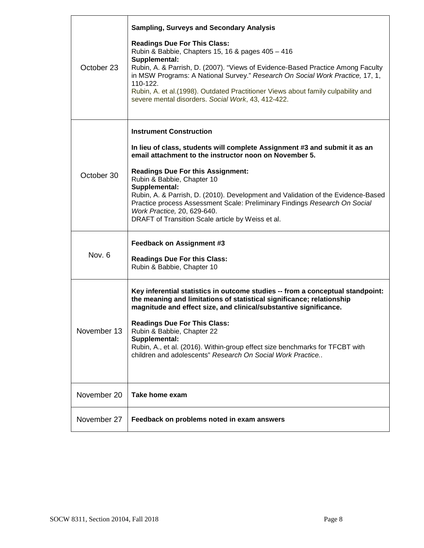| October 23  | <b>Sampling, Surveys and Secondary Analysis</b><br><b>Readings Due For This Class:</b><br>Rubin & Babbie, Chapters 15, 16 & pages 405 - 416<br>Supplemental:<br>Rubin, A. & Parrish, D. (2007). "Views of Evidence-Based Practice Among Faculty<br>in MSW Programs: A National Survey." Research On Social Work Practice, 17, 1,<br>110-122.<br>Rubin, A. et al.(1998). Outdated Practitioner Views about family culpability and<br>severe mental disorders. Social Work, 43, 412-422.                                  |
|-------------|-------------------------------------------------------------------------------------------------------------------------------------------------------------------------------------------------------------------------------------------------------------------------------------------------------------------------------------------------------------------------------------------------------------------------------------------------------------------------------------------------------------------------|
| October 30  | <b>Instrument Construction</b><br>In lieu of class, students will complete Assignment #3 and submit it as an<br>email attachment to the instructor noon on November 5.<br><b>Readings Due For this Assignment:</b><br>Rubin & Babbie, Chapter 10<br>Supplemental:<br>Rubin, A. & Parrish, D. (2010). Development and Validation of the Evidence-Based<br>Practice process Assessment Scale: Preliminary Findings Research On Social<br>Work Practice, 20, 629-640.<br>DRAFT of Transition Scale article by Weiss et al. |
| Nov. 6      | Feedback on Assignment #3<br><b>Readings Due For this Class:</b><br>Rubin & Babbie, Chapter 10                                                                                                                                                                                                                                                                                                                                                                                                                          |
| November 13 | Key inferential statistics in outcome studies -- from a conceptual standpoint:<br>the meaning and limitations of statistical significance; relationship<br>magnitude and effect size, and clinical/substantive significance.<br><b>Readings Due For This Class:</b><br>Rubin & Babbie, Chapter 22<br>Supplemental:<br>Rubin, A., et al. (2016). Within-group effect size benchmarks for TFCBT with<br>children and adolescents" Research On Social Work Practice                                                        |
| November 20 | Take home exam                                                                                                                                                                                                                                                                                                                                                                                                                                                                                                          |
| November 27 | Feedback on problems noted in exam answers                                                                                                                                                                                                                                                                                                                                                                                                                                                                              |